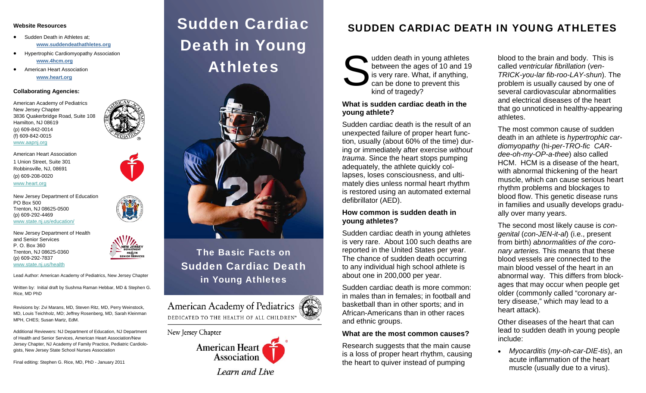#### **Website Resources**

- $\bullet$  Sudden Death in Athletes at; **www.suddendeathathletes.org**
- $\bullet$  Hypertrophic Cardiomyopathy Association **www.4hcm.org**
- $\bullet$  American Heart Association **www.heart.org**

#### **Collaborating Agencies:**

American Academy of Pediatrics New Jersey Chapter 3836 Quakerbridge Road, Suite 108 Hamilton, NJ 08619 (p) 609-842-0014 (f) 609-842-0015

#### [www](http://www.aapnj.org).[aapnj](http://www.aapnj.org).[org](http://www.aapnj.org)

[www](http://www.heart.org).[heart](http://www.heart.org).[org](http://www.heart.org)

American Heart Association 1 Union Street, Suite 301 Robbinsville, NJ, 08691 (p) 609-208-0020



New Jersey Department of Education PO Box 500 Trenton, NJ 08625-0500 (p) 609-292-4469 [www.state.nj.us/education/](http://www.state.nj.us/education/)

New Jersey Department of Health and Senior Services P. O. Box 360 Trenton, NJ 08625-0360 (p) 609-292-7837



[www.state.nj.us/health](http://www.state.nj.us/health)

Lead Author: American Academy of Pediatrics, New Jersey Chapter

Written by: Initial draft by Sushma Raman Hebbar, MD & Stephen G. Rice, MD PhD

Revisions by: Zvi Marans, MD, Steven Ritz, MD, Perry Weinstock, MD, Louis Teichholz, MD; Jeffrey Rosenberg, MD, Sarah Kleinman MPH, CHES; Susan Martz, EdM.

Additional Reviewers: NJ Department of Education, NJ Department of Health and Senior Services, American Heart Association/New Jersey Chapter, NJ Academy of Family Practice, Pediatric Cardiologists, New Jersey State School Nurses Association

Final editing: Stephen G. Rice, MD, PhD - January 2011

# Sudden Cardiac Death in Young Athletes



# The Basic Facts on Sudden Cardiac Death in Young Athletes

American Academy of Pediatrics DEDICATED TO THE HEALTH OF ALL CHILDREN™

#### New Jersey Chapter



# SUDDEN CARDIAC DEATH IN YOUNG ATHLETES

udden death in young athletes<br>between the ages of 10 and 19<br>is very rare. What, if anything,<br>can be done to prevent this kind of tragedy?

## **What is sudden cardiac death in the young athlete?**

Sudden cardiac death is the result of an unexpected failure of proper heart function, usually (about 60% of the time) during or immediately after exercise *without trauma*. Since the heart stops pumping adequately, the athlete quickly collapses, loses consciousness, and ultimately dies unless normal heart rhythm is restored using an automated external defibrillator (AED).

#### **How common is sudden death in young athletes?**

Sudden cardiac death in young athletes is very rare. About 100 such deaths are reported in the United States per year. The chance of sudden death occurring to any individual high school athlete is about one in 200,000 per year.

Sudden cardiac death is more common: in males than in females; in football and basketball than in other sports; and in African-Americans than in other races and ethnic groups.

#### **What are the most common causes?**

Research suggests that the main cause is a loss of proper heart rhythm, causing the heart to quiver instead of pumping

blood to the brain and body. This is called *ventricular fibrillation* (*ven-TRICK-you-lar fib-roo-LAY-shun*). The problem is usually caused by one of several cardiovascular abnormalities and electrical diseases of the heart that go unnoticed in healthy-appearing athletes.

The most common cause of sudden death in an athlete is *hypertrophic cardiomyopathy* (hi*-per-TRO-fic CARdee-oh-my-OP-a-thee*) also called HCM. HCM is a disease of the heart, with abnormal thickening of the heart muscle, which can cause serious heart rhythm problems and blockages to blood flow. This genetic disease runs in families and usually develops gradually over many years.

The second most likely cause is *congenital* (*con-JEN-it-al*) (i.e., present from birth) *abnormalities of the coronary arteries.* This means that these blood vessels are connected to the main blood vessel of the heart in an abnormal way. This differs from blockages that may occur when people get older (commonly called "coronary artery disease," which may lead to a heart attack).

Other diseases of the heart that can lead to sudden death in young people include:

 *Myocarditis* (*my-oh-car-DIE-tis*), an acute inflammation of the heart muscle (usually due to a virus).